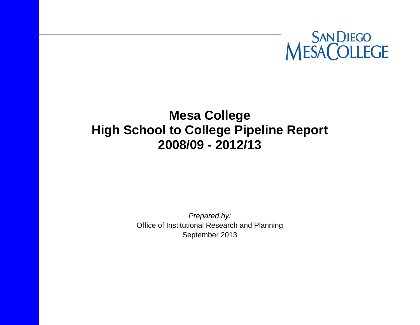

# **Mesa College High School to College Pipeline Report 2008/09 - 2012/13**

*Prepared by:*  Office of Institutional Research and Planning September 2013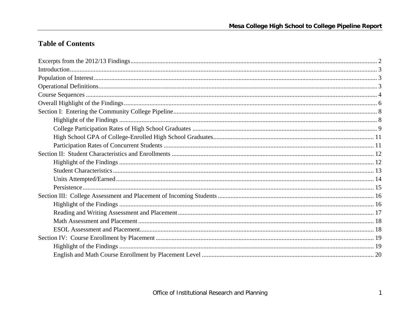## **Table of Contents**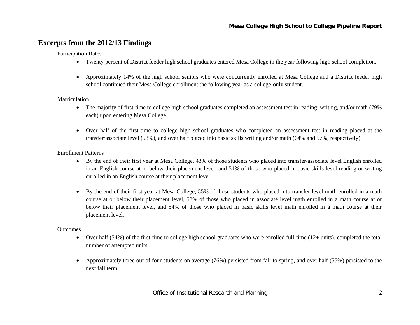## **Excerpts from the 2012/13 Findings**

Participation Rates

- Twenty percent of District feeder high school graduates entered Mesa College in the year following high school completion.
- Approximately 14% of the high school seniors who were concurrently enrolled at Mesa College and a District feeder high school continued their Mesa College enrollment the following year as a college-only student.

#### Matriculation

- The majority of first-time to college high school graduates completed an assessment test in reading, writing, and/or math (79% each) upon entering Mesa College.
- Over half of the first-time to college high school graduates who completed an assessment test in reading placed at the transfer/associate level (53%), and over half placed into basic skills writing and/or math (64% and 57%, respectively).

#### Enrollment Patterns

- By the end of their first year at Mesa College, 43% of those students who placed into transfer/associate level English enrolled in an English course at or below their placement level, and 51% of those who placed in basic skills level reading or writing enrolled in an English course at their placement level.
- 6 By the end of their first year at Mesa College, 55% of those students who placed into transfer level math enrolled in a math course at or below their placement level, 53% of those who placed in associate level math enrolled in a math course at or below their placement level, and 54% of those who placed in basic skills level math enrolled in a math course at their placement level.

#### **Outcomes**

- Over half (54%) of the first-time to college high school graduates who were enrolled full-time (12+ units), completed the total number of attempted units.
- $\bullet$  Approximately three out of four students on average (76%) persisted from fall to spring, and over half (55%) persisted to the next fall term.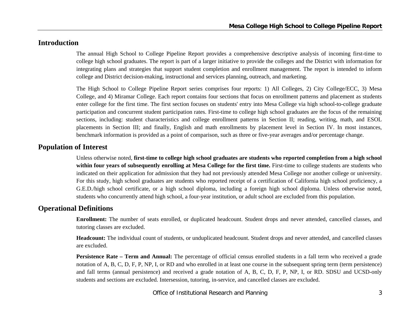## **Introduction**

The annual High School to College Pipeline Report provides a comprehensive descriptive analysis of incoming first-time to college high school graduates. The report is part of a larger initiative to provide the colleges and the District with information for integrating plans and strategies that support student completion and enrollment management. The report is intended to inform college and District decision-making, instructional and services planning, outreach, and marketing.

The High School to College Pipeline Report series comprises four reports: 1) All Colleges, 2) City College/ECC, 3) Mesa College, and 4) Miramar College. Each report contains four sections that focus on enrollment patterns and placement as students enter college for the first time. The first section focuses on students' entry into Mesa College via high school-to-college graduate participation and concurrent student participation rates. First-time to college high school graduates are the focus of the remaining sections, including: student characteristics and college enrollment patterns in Section II; reading, writing, math, and ESOL placements in Section III; and finally, English and math enrollments by placement level in Section IV. In most instances, benchmark information is provided as a point of comparison, such as three or five-year averages and/or percentage change.

## **Population of Interest**

Unless otherwise noted, **first-time to college high school graduates are students who reported completion from a high school within four years of subsequently enrolling at Mesa College for the first time.** First-time to college students are students who indicated on their application for admission that they had not previously attended Mesa College nor another college or university. For this study, high school graduates are students who reported receipt of a certification of California high school proficiency, a G.E.D./high school certificate, or a high school diploma, including a foreign high school diploma. Unless otherwise noted, students who concurrently attend high school, a four-year institution, or adult school are excluded from this population.

## **Operational Definitions**

**Enrollment:** The number of seats enrolled, or duplicated headcount. Student drops and never attended, cancelled classes, and tutoring classes are excluded.

**Headcount:** The individual count of students, or unduplicated headcount. Student drops and never attended, and cancelled classes are excluded.

**Persistence Rate – Term and Annual:** The percentage of official census enrolled students in a fall term who received a grade notation of A, B, C, D, F, P, NP, I, or RD and who enrolled in at least one course in the subsequent spring term (term persistence) and fall terms (annual persistence) and received a grade notation of A, B, C, D, F, P, NP, I, or RD. SDSU and UCSD-only students and sections are excluded. Intersession, tutoring, in-service, and cancelled classes are excluded.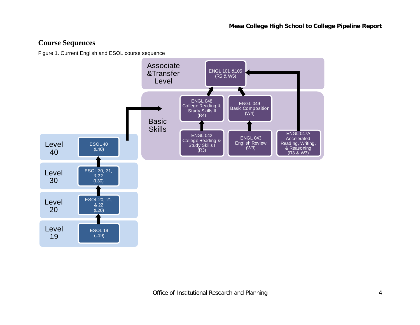## **Course Sequences**

Figure 1. Current English and ESOL course sequence

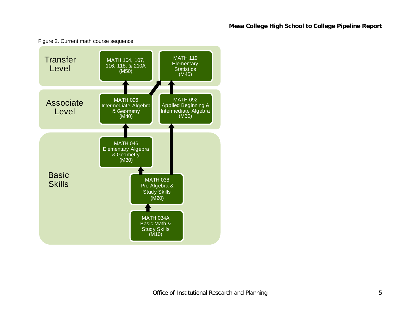

Figure 2. Current math course sequence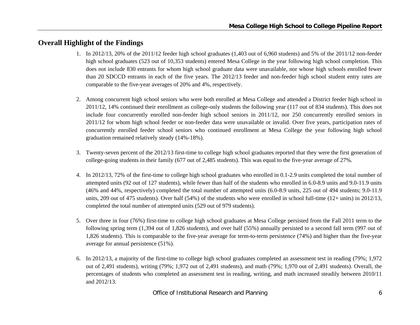## **Overall Highlight of the Findings**

- 1. In 2012/13, 20% of the 2011/12 feeder high school graduates (1,403 out of 6,960 students) and 5% of the 2011/12 non-feeder high school graduates (523 out of 10,353 students) entered Mesa College in the year following high school completion. This does not include 830 entrants for whom high school graduate data were unavailable, nor whose high schools enrolled fewer than 20 SDCCD entrants in each of the five years. The 2012/13 feeder and non-feeder high school student entry rates are comparable to the five-year averages of 20% and 4%, respectively.
- 2. Among concurrent high school seniors who were both enrolled at Mesa College and attended a District feeder high school in 2011/12, 14% continued their enrollment as college-only students the following year (117 out of 834 students). This does not include four concurrently enrolled non-feeder high school seniors in 2011/12, nor 250 concurrently enrolled seniors in 2011/12 for whom high school feeder or non-feeder data were unavailable or invalid. Over five years, participation rates of concurrently enrolled feeder school seniors who continued enrollment at Mesa College the year following high school graduation remained relatively steady (14%-18%).
- 3. Twenty-seven percent of the 2012/13 first-time to college high school graduates reported that they were the first generation of college-going students in their family (677 out of 2,485 students). This was equal to the five-year average of 27%.
- 4. In 2012/13, 72% of the first-time to college high school graduates who enrolled in 0.1-2.9 units completed the total number of attempted units (92 out of 127 students), while fewer than half of the students who enrolled in 6.0-8.9 units and 9.0-11.9 units (46% and 44%, respectively) completed the total number of attempted units (6.0-8.9 units, 225 out of 494 students; 9.0-11.9 units, 209 out of 475 students). Over half (54%) of the students who were enrolled in school full-time (12+ units) in 2012/13, completed the total number of attempted units (529 out of 979 students).
- 5. Over three in four (76%) first-time to college high school graduates at Mesa College persisted from the Fall 2011 term to the following spring term (1,394 out of 1,826 students), and over half (55%) annually persisted to a second fall term (997 out of 1,826 students). This is comparable to the five-year average for term-to-term persistence (74%) and higher than the five-year average for annual persistence (51%).
- 6. In 2012/13, a majority of the first-time to college high school graduates completed an assessment test in reading (79%; 1,972 out of 2,491 students), writing (79%; 1,972 out of 2,491 students), and math (79%; 1,970 out of 2,491 students). Overall, the percentages of students who completed an assessment test in reading, writing, and math increased steadily between 2010/11 and 2012/13.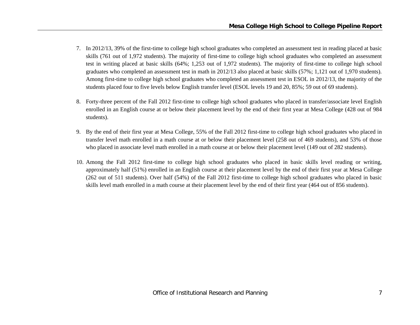- 7. In 2012/13, 39% of the first-time to college high school graduates who completed an assessment test in reading placed at basic skills (761 out of 1,972 students). The majority of first-time to college high school graduates who completed an assessment test in writing placed at basic skills (64%; 1,253 out of 1,972 students). The majority of first-time to college high school graduates who completed an assessment test in math in 2012/13 also placed at basic skills (57%; 1,121 out of 1,970 students). Among first-time to college high school graduates who completed an assessment test in ESOL in 2012/13, the majority of the students placed four to five levels below English transfer level (ESOL levels 19 and 20, 85%; 59 out of 69 students).
- 8. Forty-three percent of the Fall 2012 first-time to college high school graduates who placed in transfer/associate level English enrolled in an English course at or below their placement level by the end of their first year at Mesa College (428 out of 984 students).
- 9. By the end of their first year at Mesa College, 55% of the Fall 2012 first-time to college high school graduates who placed in transfer level math enrolled in a math course at or below their placement level (258 out of 469 students), and 53% of those who placed in associate level math enrolled in a math course at or below their placement level (149 out of 282 students).
- 10. Among the Fall 2012 first-time to college high school graduates who placed in basic skills level reading or writing, approximately half (51%) enrolled in an English course at their placement level by the end of their first year at Mesa College (262 out of 511 students). Over half (54%) of the Fall 2012 first-time to college high school graduates who placed in basic skills level math enrolled in a math course at their placement level by the end of their first year (464 out of 856 students).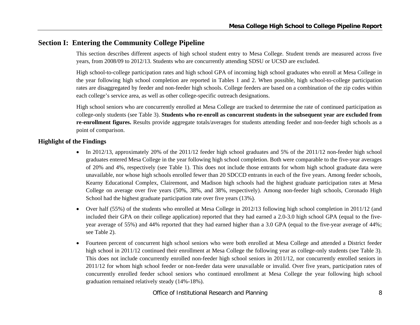## **Section I: Entering the Community College Pipeline**

This section describes different aspects of high school student entry to Mesa College. Student trends are measured across five years, from 2008/09 to 2012/13. Students who are concurrently attending SDSU or UCSD are excluded.

High school-to-college participation rates and high school GPA of incoming high school graduates who enroll at Mesa College in the year following high school completion are reported in Tables 1 and 2. When possible, high school-to-college participation rates are disaggregated by feeder and non-feeder high schools. College feeders are based on a combination of the zip codes within each college's service area, as well as other college-specific outreach designations.

High school seniors who are concurrently enrolled at Mesa College are tracked to determine the rate of continued participation as college-only students (see Table 3). **Students who re-enroll as concurrent students in the subsequent year are excluded from re-enrollment figures.** Results provide aggregate totals/averages for students attending feeder and non-feeder high schools as a point of comparison.

#### **Highlight of the Findings**

- In 2012/13, approximately 20% of the 2011/12 feeder high school graduates and 5% of the 2011/12 non-feeder high school graduates entered Mesa College in the year following high school completion. Both were comparable to the five-year averages of 20% and 4%, respectively (see Table 1). This does not include those entrants for whom high school graduate data were unavailable, nor whose high schools enrolled fewer than 20 SDCCD entrants in each of the five years. Among feeder schools, Kearny Educational Complex, Clairemont, and Madison high schools had the highest graduate participation rates at Mesa College on average over five years (50%, 38%, and 38%, respectively). Among non-feeder high schools, Coronado High School had the highest graduate participation rate over five years (13%).
- 6 Over half (55%) of the students who enrolled at Mesa College in 2012/13 following high school completion in 2011/12 (and included their GPA on their college application) reported that they had earned a 2.0-3.0 high school GPA (equal to the fiveyear average of 55%) and 44% reported that they had earned higher than a 3.0 GPA (equal to the five-year average of 44%; see Table 2).
- $\bullet$  Fourteen percent of concurrent high school seniors who were both enrolled at Mesa College and attended a District feeder high school in 2011/12 continued their enrollment at Mesa College the following year as college-only students (see Table 3). This does not include concurrently enrolled non-feeder high school seniors in 2011/12, nor concurrently enrolled seniors in 2011/12 for whom high school feeder or non-feeder data were unavailable or invalid. Over five years, participation rates of concurrently enrolled feeder school seniors who continued enrollment at Mesa College the year following high school graduation remained relatively steady (14%-18%).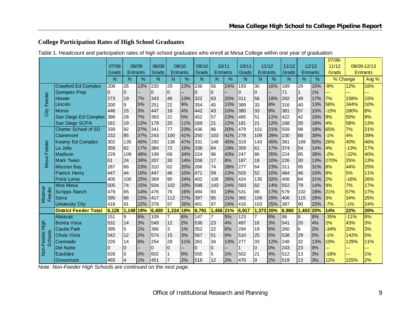## **College Participation Rates of High School Graduates**

| Table 1. Headcount and participation rates of high school graduates who enroll at Mesa College within one year of graduation |
|------------------------------------------------------------------------------------------------------------------------------|
|------------------------------------------------------------------------------------------------------------------------------|

|                          |                              |          |                |                 |              |                 |       |                |                |                 |                  |                |       |       |                 |       | 07/08-   |        |                 |
|--------------------------|------------------------------|----------|----------------|-----------------|--------------|-----------------|-------|----------------|----------------|-----------------|------------------|----------------|-------|-------|-----------------|-------|----------|--------|-----------------|
|                          |                              | 07/08    |                | 08/09           | 08/09        |                 | 09/10 | 09/10          |                | 10/11           | 10/11            |                | 11/12 | 11/12 |                 | 12/13 | 11/12    |        | 08/09-12/13     |
|                          |                              | Grads    |                | <b>Entrants</b> | Grads        | <b>Entrants</b> |       | Grads          |                | <b>Entrants</b> | Grads            | Entrants       |       | Grads | <b>Entrants</b> |       | Grads    |        | <b>Entrants</b> |
|                          |                              | N        | N              | %               | N            | N               | %     | N              | N              | %               | N                | N              | %     | N     | N               | $\%$  | % Change |        | Avg %           |
|                          | <b>Crawford Ed Complex</b>   | 208      | 26             | 13%             | 220          | 29              | 13%   | 236            | 56             | 24%             | $\overline{193}$ | 30             | 16%   | 189   | 29              | 15%   | $-9%$    | 12%    | 16%             |
|                          | <b>Gompers Prep</b>          | $\Omega$ | $\Omega$       |                 | 0            | $\mathbf 0$     |       | $\Omega$       | $\overline{0}$ |                 | 0                | $\overline{0}$ |       | 71    |                 | 1%    | ш.       | ---    | ---             |
| Feeder                   | Hoover                       | 273      | 19             | 7%              | 343          | 46              | 13%   | 322            | 63             | 20%             | 311              | 56             | 18%   | 292   | 49              | 17%   | 7%       | 158%   | 15%             |
|                          | Lincoln                      | 200      | 9              | 5%              | 251          | 22              | 9%    | 354            | 45             | 13%             | 389              | 33             | 8%    | 316   | 40              | 13%   | 58%      | 344%   | 10%             |
| City                     | <b>Morse</b>                 | 446      | 15             | 3%              | 447          | 18              | 4%    | 442            | 43             | 10%             | 380              | 33             | 9%    | 381   | 57              | 15%   | $-15%$   | 280%   | 8%              |
|                          | San Diego Ed Complex         | 386      | 28             | 7%              | 393          | 21              | 5%    | 452            | 57             | 13%             | 485              | 51             | 11%   | 422   | 42              | 10%   | 9%       | 50%    | 9%              |
|                          | San Diego SCPA               | 161      | 19             | 12%             | 179          | 20              | 11%   | 169            | 21             | 12%             | 181              | 21             | 12%   | 168   | 30              | 18%   | 4%       | 58%    | 13%             |
|                          | <b>Charter School of SD</b>  | 339      | 92             | 27%             | 341          | 77              | 23%   | 436            | 86             | 20%             | 479              | 101            | 21%   | 559   | 98              | 18%   | 65%      | 7%     | 21%             |
|                          | Clairemont                   | 232      | 85             | 37%             | 243          | 100             | 41%   | 250            | 103            | 41%             | 278              | 109            | 39%   | 230   | 88              | 38%   | $-1%$    | 4%     | 39%             |
|                          | <b>Kearny Ed Complex</b>     | 302      | 135            | 45%             | 292          | 136             | 47%   | 331            | 148            | 45%             | 319              | 143            | 45%   | 381   | 189             | 50%   | 26%      | 40%    | 46%             |
| Feeder<br>Mesa           | La Jolla                     | 358      | 62             | 17%             | 384          | 72              | 19%   | 338            | 64             | 19%             | 359              | 61             | 17%   | 374   | 54              | 14%   | 4%       | $-13%$ | 17%             |
|                          | <b>Madison</b>               | 229      | 109            | 48%             | 199          | 68              | 34%   | 224            | 96             | 43%             | 247              | 86             | 35%   | 224   | 85              | 38%   | $-2%$    | $-22%$ | 40%             |
|                          | <b>Mark Twain</b>            | 61       | 24             | 39%             | 207          | 30              | 14%   | 208            | 17             | 8%              | 187              | 18             | 10%   | 226   | 30              | 13%   | 270%     | 25%    | 13%             |
|                          | <b>Mission Bay</b>           | 287      | 66             | 23%             | 310          | 62              | 20%   | 266            | 74             | 28%             | 277              | 64             | 23%   | 311   | 95              | 31%   | 8%       | 44%    | 25%             |
|                          | <b>Patrick Henry</b>         | 447      | 44             | 10%             | 447          | 46              | 10%   | 471            | 59             | 13%             | 503              | 52             | 10%   | 484   | 46              | 10%   | 8%       | 5%     | 11%             |
|                          | Point Loma                   | 400      | 100            | 25%             | 369          | 90              | 24%   | 402            | 106            | 26%             | 424              | 135            | 32%   | 408   | 84              | 21%   | 2%       | $-16%$ | 26%             |
|                          | Mira Mesa                    | 505      | 74             | 15%             | 504          | 102             | 20%   | 598            | 143            | 24%             | 593              | 82             | 14%   | 552   | 79              | 14%   | 9%       | 7%     | 17%             |
|                          | <b>Scripps Ranch</b>         | 479      | 65             | 14%             | 476          | 76              | 16%   | 494            | 93             | 19%             | 531              | 89             | 17%   | 579   | 102             | 18%   | 21%      | 57%    | 17%             |
| Miramar<br>Feeder        | Serra                        | 395      | 86             | 22%             | 417          | 112             | 27%   | 397            | 85             | 21%             | 365              | 106            | 29%   | 406   | 115             | 28%   | 3%       | 34%    | 25%             |
|                          | <b>University City</b>       | 418      | 91             | 22%             | 378          | 97              | 26%   | 401            | 97             | 24%             | 416              | 103            | 25%   | 387   | 90              | 23%   | $-7%$    | $-1%$  | 24%             |
|                          | <b>District Feeder Total</b> | 6,126    | 1,149          | 19%             | 6,400        | 1,224           | 19%   | 6,791          | 1,456          | 21%             | 6,917            | 1,373          | 20%   | 6,960 | 1,403           | 20%   | 14%      | 22%    | 20%             |
|                          | <b>Abraxas</b>               | 151      | 9              | 6%              | 109          | $\overline{7}$  | 6%    | 147            | 7              | 5%              | $\overline{123}$ | $\overline{7}$ | 6%    | 98    | 8               | 8%    | $-35%$   | $-11%$ | 6%              |
| High                     | <b>Bonita Vista</b>          | 531      | 14             | 3%              | 549          | 12              | 2%    | 536            | 23             | 4%              | 497              | 16             | 3%    | 541   | 20              | 4%    | 2%       | 43%    | 3%              |
|                          | Castle Park                  | 395      | 5              | 1%              | 366          | 3               | 1%    | 352            | 22             | 6%              | 294              | 19             | 6%    | 260   | 6               | 2%    | $-34%$   | 20%    | 3%              |
| <b>Schools</b><br>Feeder | <b>Chula Vista</b>           | 542      | 12             | 2%              | 574          | 15              | 3%    | 567            | 51             | 9%              | 510              | 25             | 5%    | 538   | 29              | 5%    | $-1%$    | 142%   | 5%              |
|                          | Coronado                     | 226      | 14             | 6%              | 254          | 28              | 11%   | 261            | 34             | 13%             | 277              | 33             | 12%   | 248   | 32              | 13%   | 10%      | 129%   | 11%             |
|                          | <b>Del Norte</b>             | $\Omega$ | $\overline{0}$ |                 | $\mathbf{0}$ | 0               |       | $\overline{0}$ | $\overline{0}$ |                 |                  | 0              | 0%    | 243   | 23              | 9%    |          | ---    |                 |
| Non-l                    | Eastlake                     | 628      | $\overline{0}$ | 0%              | 602          | $\mathbf{1}$    | 0%    | 555            | 5              | 1%              | 502              | 21             | 4%    | 512   | 13              | 3%    | $-18%$   | ---    | 1%              |
|                          | Grossmont                    | 465      | $\overline{4}$ | 1%              | 451          | $\overline{7}$  | 2%    | 518            | 12             | 2%              | 470              | 9              | 2%    | 519   | 13              | 3%    | 12%      | 225%   | 2%              |

*Note. Non-Feeder High Schools are continued on the next page.*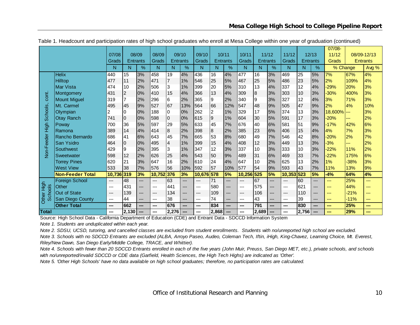|                   |                         |        |                 |       |        |                 |       |        |                 |      |        |                  |     |        |                 |       | $07/08 -$    |               |                 |
|-------------------|-------------------------|--------|-----------------|-------|--------|-----------------|-------|--------|-----------------|------|--------|------------------|-----|--------|-----------------|-------|--------------|---------------|-----------------|
|                   |                         | 07/08  |                 | 08/09 | 08/09  |                 | 09/10 | 09/10  | 10/11           |      | 10/11  | 11/12            |     | 11/12  |                 | 12/13 | 11/12        |               | 08/09-12/13     |
|                   |                         | Grads  | <b>Entrants</b> |       | Grads  | <b>Entrants</b> |       | Grads  | <b>Entrants</b> |      | Grads  | <b>Entrants</b>  |     | Grads  | <b>Entrants</b> |       | <b>Grads</b> |               | <b>Entrants</b> |
|                   |                         | N      | N               | $\%$  | N      | N               | %     | N      | N               | $\%$ | N      | N                | %   | N      | N               | $\%$  | % Change     |               | Avg %           |
|                   | <b>Helix</b>            | 440    | 15              | 3%    | 458    | 19              | 4%    | 436    | 16              | 4%   | 477    | 16               | 3%  | 469    | $\overline{25}$ | 5%    | 7%           | 67%           | 4%              |
|                   | Hilltop                 | 477    | 11              | 2%    | 471    | $\overline{7}$  | 1%    | 546    | 25              | 5%   | 467    | 25               | 5%  | 486    | 23              | 5%    | 2%           | 109%          | 4%              |
|                   | <b>Mar Vista</b>        | 474    | 10              | 2%    | 506    | 3               | 1%    | 399    | 20              | 5%   | 310    | 13               | 4%  | 337    | 12              | 4%    | $-29%$       | 20%           | 3%              |
| cont.             | Montgomery              | 431    | $\overline{2}$  | 0%    | 410    | 15              | 4%    | 366    | 13              | 4%   | 309    | $\boldsymbol{8}$ | 3%  | 303    | 10              | 3%    | $-30%$       | 400%          | 3%              |
|                   | Mount Miguel            | 319    |                 | 2%    | 296    | l6              | 2%    | 365    | 9               | 2%   | 340    | 9                | 3%  | 327    | 12              | 4%    | 3%           | 71%           | 3%              |
|                   | Mt. Carmel              | 495    | 45              | 9%    | 527    | 67              | 13%   | 564    | 66              | 12%  | 547    | 48               | 9%  | 505    | 47              | 9%    | 2%           | 4%            | 10%             |
| <b>Schools</b>    | Olympian                | 2      |                 | 0%    | 188    | 0               | 0%    | 262    | $\overline{c}$  | 1%   | 329    | 17               | 5%  | 374    | 13              | 3%    | 18,600%      | $\frac{1}{2}$ | 3%              |
|                   | <b>Otay Ranch</b>       | 741    | 0               | 0%    | 598    | lo              | 0%    | 615    | $\mathsf g$     | 1%   | 604    | 30               | 5%  | 591    | 17              | 3%    | $-20%$       | ---           | 2%              |
| tigh              | Poway                   | 700    | 36              | 5%    | 597    | 29              | 5%    | 633    | 45              | 7%   | 676    | 40               | 6%  | 581    | 51              | 9%    | $-17%$       | 42%           | 6%              |
|                   | Ramona                  | 389    | 14              | 4%    | 414    | 8               | 2%    | 398    | 8               | 2%   | 385    | 23               | 6%  | 406    | 15              | 4%    | 4%           | 7%            | 3%              |
|                   | Rancho Bernardo         | 686    | 41              | 6%    | 643    | 45              | 7%    | 665    | 53              | 8%   | 680    | 49               | 7%  | 546    | 42              | 8%    | $-20%$       | 2%            | 7%              |
| <b>Von-Feeder</b> | <b>San Ysidro</b>       | 464    | 0               | 0%    | 495    | $\overline{4}$  | 1%    | 399    | 15              | 4%   | 408    | 12               | 3%  | 449    | 13              | 3%    | $-3%$        | ---           | 2%              |
|                   | Southwest               | 429    | 9               | 2%    | 395    | 3               | 1%    | 347    | 12              | 3%   | 337    | 10               | 3%  | 333    | 10              | 3%    | $-22%$       | 11%           | 2%              |
|                   | Sweetwater              | 598    | 12              | 2%    | 626    | 25              | 4%    | 543    | 50              | 9%   | 489    | 31               | 6%  | 469    | 33              | 7%    | $-22%$       | 175%          | 6%              |
|                   | <b>Torrey Pines</b>     | 620    | 21              | 3%    | 647    | 16              | 2%    | 610    | 24              | 4%   | 647    | 10               | 2%  | 625    | 13              | 2%    | 1%           | $-38%$        | 3%              |
|                   | <b>West View</b>        | 533    | 38              | 7%    | 576    | 56              | 10%   | 592    | 57              | 10%  | 577    | 54               | 9%  | 593    | 43              | 7%    | 11%          | 13%           | 9%              |
|                   | <b>Non-Feeder Total</b> | 10,736 | 319             | 3%    | 10,752 | 376             | 3%    | 10,676 | 578             | 5%   | 10,256 | 525              | 5%  | 10,353 | 523             | 5%    | $-4%$        | 64%           | 4%              |
|                   | <b>Foreign School</b>   | ---    | 48              | $---$ | ---    | 63              | ---   | ---    | 71              | ---  | ---    | 67               | --- | ---    | 60              | ---   | ---          | 25%           | ---             |
| tigh              | Other                   | $---$  | 431             | ---   | ---    | 441             | ---   | ---    | 580             | ---  | ---    | 575              | --- | $---$  | 621             | ---   | ---          | 44%           | ---             |
| chools            | Out of State            | $---$  | 139             | ---   | ---    | 134             | ---   | $---$  | 109             | ---  | $---$  | 106              | --- | ---    | 110             | ---   | ---          | $-21%$        | ---             |
| Other             | San Diego County        | ---    | 44              | ---   | ---    | 38              | ---   | $---$  | 74              | ---  | ---    | 43               | --- | $---$  | 39              | ---   | $---$        | $-11%$        | ---             |
|                   | <b>Other Total</b>      | ---    | 662             | ---   | ---    | 676             | ---   | ---    | 834             | ---  | ---    | 791              | --- | ---    | 830             | ---   | ---          | 25%           | ---             |
| <b>Total</b>      |                         | ---    | 2,130           | ---   | ---    | 2,276           |       | ---    | 2,868           | ---  | ---    | 2.689            |     | ---    | 2,756           | $---$ |              | 29%           | ---             |

Table 1. Headcount and participation rates of high school graduates who enroll at Mesa College within one year of graduation (continued)

Source: High School Data - California Department of Education (CDE) and Entrant Data - SDCCD Information System

*Note 1. Students are unduplicated within each year.*

*Note 2. SDSU, UCSD, tutoring, and cancelled classes are excluded from student enrollments. Students with no/unreported high school are excluded.*

*Note 3. Schools with no SDCCD Entrants are excluded (ALBA, Arroyo Paseo, Audeo, Coleman Tech, Iftin, iHigh, King-Chavez, Learning Choice, Mt. Everest, Riley/New Dawn, San Diego Early/Middle College, TRACE, and Whittier).*

*Note 4. Schools with fewer than 20 SDCCD Entrants enrolled in each of the five years (John Muir, Preuss, San Diego MET, etc.), private schools, and schools with no/unreported/invalid SDCCD or CDE data (Garfield, Health Sciences, the High Tech Highs) are indicated as 'Other'.*

*Note 5. 'Other High Schools' have no data available on high school graduates; therefore, no participation rates are calculated.*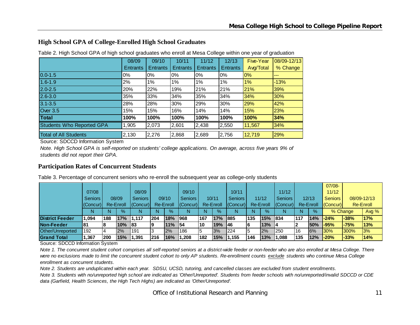#### **High School GPA of College-Enrolled High School Graduates**

|                              | 08/09           | 09/10           | 10/11           | 11/12           | 12/13           | Five-Year | 08/09-12/13 |
|------------------------------|-----------------|-----------------|-----------------|-----------------|-----------------|-----------|-------------|
|                              | <b>Entrants</b> | <b>Entrants</b> | <b>Entrants</b> | <b>Entrants</b> | <b>Entrants</b> | Avg/Total | % Change    |
| $0.0 - 1.5$                  | $0\%$           | 0%              | 0%              | 0%              | $0\%$           | 0%        | $---$       |
| $1.6 - 1.9$                  | 2%              | $1\%$           | 1%              | 1%              | 1%              | 1%        | $-13%$      |
| $2.0 - 2.5$                  | 20%             | 22%             | 19%             | 21%             | 21%             | 21%       | 39%         |
| $2.6 - 3.0$                  | 35%             | 33%             | 34%             | 35%             | 34%             | 34%       | 30%         |
| $3.1 - 3.5$                  | 28%             | 28%             | 30%             | 29%             | 30%             | 29%       | 42%         |
| Over 3.5                     | 15%             | 15%             | 16%             | 14%             | 14%             | 15%       | 23%         |
| <b>Total</b>                 | 100%            | 100%            | 100%            | 100%            | 100%            | 100%      | 34%         |
| Students Who Reported GPA    | 1,905           | 2,073           | 2,601           | 2,438           | 2,550           | 11,567    | 34%         |
| <b>Total of All Students</b> | 2,130           | 2,276           | 2,868           | 2,689           | 2,756           | 12,719    | 29%         |

Table 2. High School GPA of high school graduates who enroll at Mesa College within one year of graduation

Source: SDCCD Information System

*Note. High School GPA is self-reported on students' college applications. On average, across five years 9% of students did not report their GPA.*

#### **Participation Rates of Concurrent Students**

Table 3. Percentage of concurrent seniors who re-enroll the subsequent year as college-only students

|                        |                |            |           |                |     |               |                |     |           |                |     |           |                |     |           | $07/08 -$      |          |             |
|------------------------|----------------|------------|-----------|----------------|-----|---------------|----------------|-----|-----------|----------------|-----|-----------|----------------|-----|-----------|----------------|----------|-------------|
|                        | 07/08          |            |           | 08/09          |     |               | 09/10          |     |           | 10/11          |     |           | 11/12          |     |           | 11/12          |          |             |
|                        | <b>Seniors</b> |            | 08/09     | <b>Seniors</b> |     | 09/10         | <b>Seniors</b> |     | 10/11     | <b>Seniors</b> |     | 11/12     | <b>Seniors</b> |     | 12/13     | <b>Seniors</b> |          | 08/09-12/13 |
|                        | (Concur)       |            | Re-Enroll | $ $ (Concur)   |     | Re-Enroll     | (Concur)       |     | Re-Enroll | (Concur)       |     | Re-Enroll | (Concur)       |     | Re-Enroll | (Concur)       |          | Re-Enroll   |
|                        |                | N          | $\%$      | N.             | N   | $\frac{9}{6}$ | N              | N   | %         | N              | N   | $\%$      | N              |     | $\%$      |                | % Change | Avg $%$     |
| <b>District Feeder</b> | 1.094          | 188        | 17%       | 11.117         | 204 | 18%           | 1968           | 167 | 17%       | 1885           | 135 | 15% 834   |                | 117 | 14%       | $-24%$         | $-38%$   | <b>17%</b>  |
| Non-Feeder             | l81            |            | 10%       | <b>183</b>     | 19  | $11\%$        | 154            | l10 | 19%       | 146            | 16  | $13%$  4  |                |     | 50%       | <b>I-95%</b>   | $-75%$   | 13%         |
| Other/Unreported       | 192            |            | $2\%$     | 1191           |     | 2%            | 186            |     | 3%        | 224            |     | <b>2%</b> | 250            | 16  | 6%        | 30%            | 300%     | 3%          |
| <b>Grand Total</b>     | 1,367          | <b>200</b> | 15%       | 1,391          | 216 | 16%           | .208           | 182 | 15%       | 1.155          | 146 | 13%       | 1,088          | 135 | 12%       | $-20%$         | $-33%$   | 14%         |

Source: SDCCD Information System

*Note 1. The concurrent student cohort comprises all self-reported seniors at a district-wide feeder or non-feeder who are also enrolled at Mesa College. There*  were no exclusions made to limit the concurrent student cohort to only AP students. Re-enrollment counts exclude students who continue Mesa College *enrollment as concurrent students.* 

*Note 2. Students are unduplicated within each year. SDSU, UCSD, tutoring, and cancelled classes are excluded from student enrollments.* 

*Note 3. Students with no/unreported high school are indicated as 'Other/Unreported'. Students from feeder schools with no/unreported/invalid SDCCD or CDE data (Garfield, Health Sciences, the High Tech Highs) are indicated as 'Other/Unreported'.*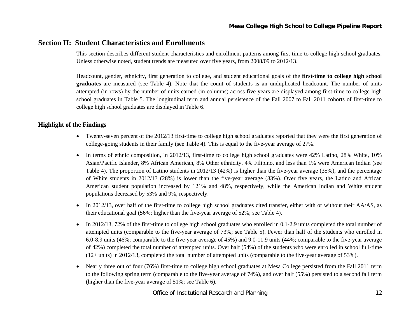## **Section II: Student Characteristics and Enrollments**

This section describes different student characteristics and enrollment patterns among first-time to college high school graduates. Unless otherwise noted, student trends are measured over five years, from 2008/09 to 2012/13.

Headcount, gender, ethnicity, first generation to college, and student educational goals of the **first-time to college high school graduates** are measured (see Table 4). Note that the count of students is an unduplicated headcount. The number of units attempted (in rows) by the number of units earned (in columns) across five years are displayed among first-time to college high school graduates in Table 5. The longitudinal term and annual persistence of the Fall 2007 to Fall 2011 cohorts of first-time to college high school graduates are displayed in Table 6.

#### **Highlight of the Findings**

- Twenty-seven percent of the 2012/13 first-time to college high school graduates reported that they were the first generation of college-going students in their family (see Table 4). This is equal to the five-year average of 27%.
- In terms of ethnic composition, in 2012/13, first-time to college high school graduates were 42% Latino, 28% White, 10% Asian/Pacific Islander, 8% African American, 8% Other ethnicity, 4% Filipino, and less than 1% were American Indian (see Table 4). The proportion of Latino students in 2012/13 (42%) is higher than the five-year average (35%), and the percentage of White students in 2012/13 (28%) is lower than the five-year average (33%). Over five years, the Latino and African American student population increased by 121% and 48%, respectively, while the American Indian and White student populations decreased by 53% and 9%, respectively.
- $\bullet$  In 2012/13, over half of the first-time to college high school graduates cited transfer, either with or without their AA/AS, as their educational goal (56%; higher than the five-year average of 52%; see Table 4).
- $\bullet$  In 2012/13, 72% of the first-time to college high school graduates who enrolled in 0.1-2.9 units completed the total number of attempted units (comparable to the five-year average of 73%; see Table 5). Fewer than half of the students who enrolled in 6.0-8.9 units (46%; comparable to the five-year average of 45%) and 9.0-11.9 units (44%; comparable to the five-year average of 42%) completed the total number of attempted units. Over half (54%) of the students who were enrolled in school full-time (12+ units) in 2012/13, completed the total number of attempted units (comparable to the five-year average of 53%).
- 0 Nearly three out of four (76%) first-time to college high school graduates at Mesa College persisted from the Fall 2011 term to the following spring term (comparable to the five-year average of 74%), and over half (55%) persisted to a second fall term (higher than the five-year average of 51%; see Table 6).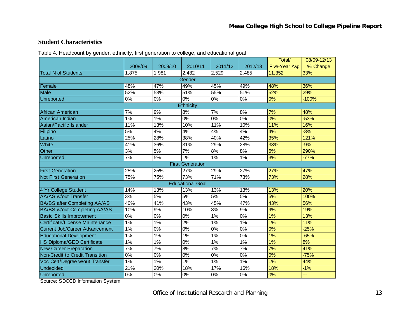#### **Student Characteristics**

| Table 4. Headcount by gender, ethnicity, first generation to college, and educational goal |  |  |
|--------------------------------------------------------------------------------------------|--|--|
|                                                                                            |  |  |

|                                       |                  |                  |                         |                  |                  | Total/        | 08/09-12/13 |  |  |  |
|---------------------------------------|------------------|------------------|-------------------------|------------------|------------------|---------------|-------------|--|--|--|
|                                       | 2008/09          | 2009/10          | 2010/11                 | 2011/12          | 2012/13          | Five-Year Avg | % Change    |  |  |  |
| <b>Total N of Students</b>            | 1,875            | 1,981            | 2,482                   | 2,529            | 2,485            | 11,352        | 33%         |  |  |  |
|                                       |                  |                  | Gender                  |                  |                  |               |             |  |  |  |
| Female                                | 48%              | 47%              | 49%                     | 45%              | 49%              | 48%           | 36%         |  |  |  |
| <b>Male</b>                           | 52%              | 53%              | 51%                     | 55%              | 51%              | 52%           | 29%         |  |  |  |
| <b>Unreported</b>                     | 0%               | 0%               | 0%                      | $\overline{0\%}$ | $\overline{0\%}$ | 0%            | $-100%$     |  |  |  |
|                                       |                  |                  | <b>Ethnicity</b>        |                  |                  |               |             |  |  |  |
| African American                      | 7%               | 9%               | 8%                      | $\overline{7\%}$ | 8%               | 7%            | 48%         |  |  |  |
| American Indian                       | $1\%$            | 1%               | 0%                      | $\overline{0\%}$ | $0\%$            | 0%            | $-53%$      |  |  |  |
| Asian/Pacific Islander                | 11%              | 13%              | 10%                     | 11%              | 10%              | 11%           | 16%         |  |  |  |
| Filipino                              | 5%               | 4%               | 4%                      | 4%               | 4%               | 4%            | $-3%$       |  |  |  |
| Latino                                | 25%              | 28%              | 38%                     | 40%              | 42%              | 35%           | 121%        |  |  |  |
| White                                 | 41%              | 36%              | 31%                     | 29%              | 28%              | 33%           | $-9%$       |  |  |  |
| Other                                 | 3%               | 5%               | 7%                      | 8%               | 8%               | 6%            | 290%        |  |  |  |
| Unreported                            | 7%               | 5%               | 1%                      | $1\%$            | 1%               | 3%            | $-77%$      |  |  |  |
| <b>First Generation</b>               |                  |                  |                         |                  |                  |               |             |  |  |  |
| <b>First Generation</b>               | 25%              | 25%              | 27%                     | 29%              | 27%              | 27%           | 47%         |  |  |  |
| <b>Not First Generation</b>           | 75%              | 75%              | 73%                     | 71%              | 73%              | 73%           | 28%         |  |  |  |
|                                       |                  |                  | <b>Educational Goal</b> |                  |                  |               |             |  |  |  |
| 4 Yr College Student                  | 14%              | 13%              | 13%                     | 13%              | 13%              | 13%           | 20%         |  |  |  |
| <b>AA/AS w/out Transfer</b>           | 3%               | 5%               | 5%                      | 5%               | 5%               | 5%            | 100%        |  |  |  |
| <b>BA/BS after Completing AA/AS</b>   | 40%              | 41%              | 43%                     | 45%              | 47%              | 43%           | 56%         |  |  |  |
| <b>BA/BS w/out Completing AA/AS</b>   | 10%              | 9%               | 10%                     | 8%               | 9%               | 9%            | 19%         |  |  |  |
| <b>Basic Skills Improvement</b>       | $\overline{0\%}$ | $0\%$            | 0%                      | $1\%$            | 0%               | 1%            | 13%         |  |  |  |
| Certificate/License Maintenance       | 1%               | 1%               | 2%                      | 1%               | 1%               | 1%            | 11%         |  |  |  |
| <b>Current Job/Career Advancement</b> | $1\%$            | $\overline{0\%}$ | 0%                      | $\overline{0\%}$ | 0%               | 0%            | $-25%$      |  |  |  |
| <b>Educational Development</b>        | 1%               | 1%               | 1%                      | 1%               | 0%               | 1%            | $-65%$      |  |  |  |
| HS Diploma/GED Certificate            | 1%               | 1%               | 0%                      | 1%               | 1%               | 1%            | 8%          |  |  |  |
| <b>New Career Preparation</b>         | 7%               | 7%               | 8%                      | 7%               | 7%               | 7%            | 41%         |  |  |  |
| Non-Credit to Credit Transition       | 0%               | 0%               | 0%                      | 0%               | $0\%$            | 0%            | $-75%$      |  |  |  |
| Voc Cert/Degree w/out Transfer        | 1%               | 1%               | 1%                      | $1\%$            | 1%               | 1%            | 44%         |  |  |  |
| <b>Undecided</b>                      | 21%              | 20%              | 18%                     | 17%              | 16%              | 18%           | $-1%$       |  |  |  |
| Unreported                            | $\overline{0\%}$ | 0%               | 0%                      | $\overline{0\%}$ | 0%               | 0%            | ---         |  |  |  |

Source: SDCCD Information System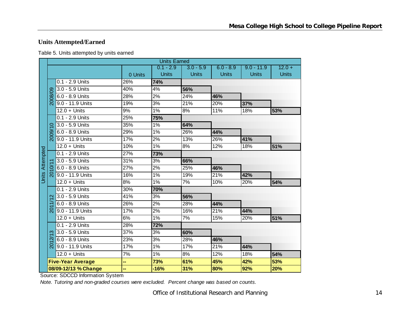## **Units Attempted/Earned**

| Table 5. Units attempted by units earned |
|------------------------------------------|
|------------------------------------------|

|                        |                     |                          |         | <b>Units Earned</b> |              |              |              |              |
|------------------------|---------------------|--------------------------|---------|---------------------|--------------|--------------|--------------|--------------|
|                        |                     |                          |         | $0.1 - 2.9$         | $3.0 - 5.9$  | $6.0 - 8.9$  | $9.0 - 11.9$ | $12.0 +$     |
|                        |                     |                          | 0 Units | <b>Units</b>        | <b>Units</b> | <b>Units</b> | <b>Units</b> | <b>Units</b> |
|                        |                     | 0.1 - 2.9 Units          | 26%     | 74%                 |              |              |              |              |
|                        |                     | 3.0 - 5.9 Units          | 40%     | 4%                  | 56%          |              |              |              |
|                        | 2008/09             | 6.0 - 8.9 Units          | 28%     | 2%                  | 24%          | 46%          |              |              |
|                        |                     | 9.0 - 11.9 Units         | 19%     | 3%                  | 21%          | 20%          | 37%          |              |
|                        |                     | $12.0 +$ Units           | 9%      | 1%                  | 8%           | 11%          | 18%          | 53%          |
|                        |                     | 0.1 - 2.9 Units          | 25%     | 75%                 |              |              |              |              |
|                        | $\circ$             | 3.0 - 5.9 Units          | 35%     | 1%                  | 64%          |              |              |              |
|                        | 2009/               | 6.0 - 8.9 Units          | 29%     | 1%                  | 26%          | 44%          |              |              |
|                        |                     | 9.0 - 11.9 Units         | 17%     | 2%                  | 13%          | 26%          | 41%          |              |
|                        |                     | $12.0 +$ Units           | 10%     | 1%                  | 8%           | 12%          | 18%          | 51%          |
|                        |                     | 0.1 - 2.9 Units          | 27%     | 73%                 |              |              |              |              |
| <b>Units Attempted</b> |                     | 3.0 - 5.9 Units          | 31%     | 3%                  | 66%          |              |              |              |
|                        |                     | 6.0 - 8.9 Units          | 27%     | 2%                  | 25%          | 46%          |              |              |
|                        | <u>న్</u>           | 9.0 - 11.9 Units         | 16%     | $1\%$               | 19%          | 21%          | 42%          |              |
|                        |                     | $12.0 +$ Units           | 8%      | 1%                  | 7%           | 10%          | 20%          | 54%          |
|                        |                     | 0.1 - 2.9 Units          | 30%     | 70%                 |              |              |              |              |
|                        | $\mathbf{\Omega}$   | 3.0 - 5.9 Units          | 41%     | 3%                  | 56%          |              |              |              |
|                        |                     | 6.0 - 8.9 Units          | 26%     | 2%                  | 28%          | 44%          |              |              |
|                        | $\overline{5}$      | 9.0 - 11.9 Units         | 17%     | 2%                  | 16%          | 21%          | 44%          |              |
|                        |                     | $12.0 +$ Units           | 6%      | 1%                  | 7%           | 15%          | 20%          | 51%          |
|                        |                     | 0.1 - 2.9 Units          | 28%     | 72%                 |              |              |              |              |
|                        | က                   | 3.0 - 5.9 Units          | 37%     | 3%                  | 60%          |              |              |              |
|                        | $\overline{\alpha}$ | 6.0 - 8.9 Units          | 23%     | 3%                  | 28%          | 46%          |              |              |
|                        | <u>ର</u>            | 9.0 - 11.9 Units         | 17%     | $1\%$               | 17%          | 21%          | 44%          |              |
|                        |                     | $12.0 +$ Units           | 7%      | 1%                  | 8%           | 12%          | 18%          | 54%          |
|                        |                     | <b>Five-Year Average</b> | н,      | 73%                 | 61%          | 45%          | 42%          | 53%          |
|                        |                     | 08/09-12/13 % Change     |         | $-16%$              | 31%          | 80%          | 92%          | 20%          |

Source: SDCCD Information System

*Note. Tutoring and non-graded courses were excluded. Percent change was based on counts.*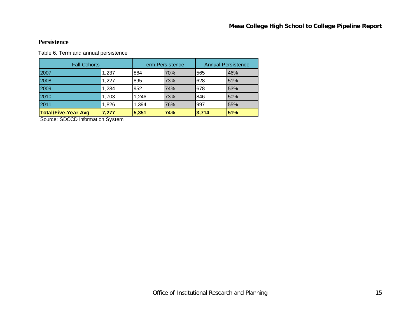#### **Persistence**

Table 6. Term and annual persistence

| <b>Fall Cohorts</b>        |       |       | <b>Term Persistence</b> |       | <b>Annual Persistence</b> |
|----------------------------|-------|-------|-------------------------|-------|---------------------------|
| 2007                       | 1,237 | 864   | 70%                     | 565   | 46%                       |
| 2008                       | 1,227 | 895   | 73%                     | 628   | 51%                       |
| 2009                       | 1,284 | 952   | 74%                     | 678   | 53%                       |
| 2010                       | 1,703 | 1.246 | 73%                     | 846   | 50%                       |
| 2011                       | 1,826 | 1,394 | 76%                     | 997   | 55%                       |
| <b>Total/Five-Year Avg</b> | 7,277 | 5,351 | 74%                     | 3,714 | 51%                       |

Source: SDCCD Information System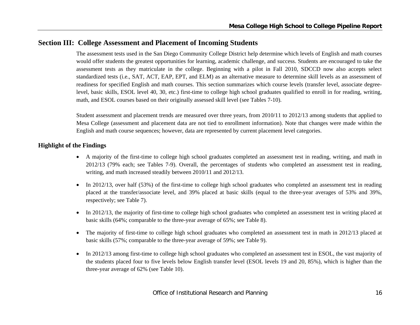## **Section III: College Assessment and Placement of Incoming Students**

The assessment tests used in the San Diego Community College District help determine which levels of English and math courses would offer students the greatest opportunities for learning, academic challenge, and success. Students are encouraged to take the assessment tests as they matriculate in the college. Beginning with a pilot in Fall 2010, SDCCD now also accepts select standardized tests (i.e., SAT, ACT, EAP, EPT, and ELM) as an alternative measure to determine skill levels as an assessment of readiness for specified English and math courses. This section summarizes which course levels (transfer level, associate degreelevel, basic skills, ESOL level 40, 30, etc.) first-time to college high school graduates qualified to enroll in for reading, writing, math, and ESOL courses based on their originally assessed skill level (see Tables 7-10).

Student assessment and placement trends are measured over three years, from 2010/11 to 2012/13 among students that applied to Mesa College (assessment and placement data are not tied to enrollment information). Note that changes were made within the English and math course sequences; however, data are represented by current placement level categories.

#### **Highlight of the Findings**

- A majority of the first-time to college high school graduates completed an assessment test in reading, writing, and math in 2012/13 (79% each; see Tables 7-9). Overall, the percentages of students who completed an assessment test in reading, writing, and math increased steadily between 2010/11 and 2012/13.
- $\bullet$  In 2012/13, over half (53%) of the first-time to college high school graduates who completed an assessment test in reading placed at the transfer/associate level, and 39% placed at basic skills (equal to the three-year averages of 53% and 39%, respectively; see Table 7).
- $\bullet$  In 2012/13, the majority of first-time to college high school graduates who completed an assessment test in writing placed at basic skills (64%; comparable to the three-year average of 65%; see Table 8).
- $\bullet$  The majority of first-time to college high school graduates who completed an assessment test in math in 2012/13 placed at basic skills (57%; comparable to the three-year average of 59%; see Table 9).
- $\bullet$  In 2012/13 among first-time to college high school graduates who completed an assessment test in ESOL, the vast majority of the students placed four to five levels below English transfer level (ESOL levels 19 and 20, 85%), which is higher than the three-year average of 62% (see Table 10).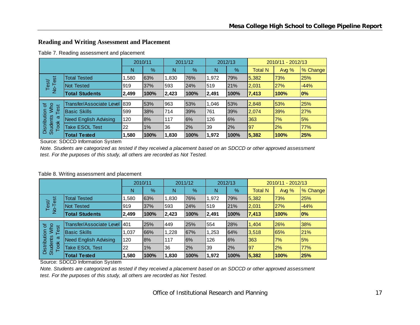### **Reading and Writing Assessment and Placement**

| Table 7. Reading assessment and placement |  |
|-------------------------------------------|--|
|-------------------------------------------|--|

|                                              |                                 | 2010/11 |      | 2011/12 |      | 2012/13 |      | 2010/11 - 2012/13 |         |          |
|----------------------------------------------|---------------------------------|---------|------|---------|------|---------|------|-------------------|---------|----------|
|                                              |                                 | N       | %    | N       | $\%$ | Ν       | %    | <b>Total N</b>    | Avg $%$ | % Change |
| est                                          | <b>Total Tested</b>             | ,580    | 63%  | 1,830   | 76%  | 1,972   | 79%  | 5,382             | 73%     | 25%      |
| Test<br>$\frac{1}{2}$                        | <b>Not Tested</b>               | 919     | 37%  | 593     | 24%  | 519     | 21%  | 2,031             | 27%     | $-44%$   |
|                                              | <b>Total Students</b>           | 2,499   | 100% | 2,423   | 100% | 2,491   | 100% | 7,413             | 100%    | $ 0\%$   |
|                                              | <b>Transfer/Associate Level</b> |         |      |         |      |         |      |                   |         |          |
| ৳<br><b>NVho</b>                             |                                 | 839     | 53%  | 963     | 53%  | 1,046   | 53%  | 2,848             | 53%     | 25%      |
| Test                                         | <b>Basic Skills</b>             | 599     | 38%  | 714     | 39%  | 761     | 39%  | 2,074             | 39%     | 27%      |
| Distribution<br><b>Students</b><br>ω<br>Took | <b>Need English Advising</b>    | 120     | 8%   | 117     | 6%   | 126     | 6%   | 363               | 7%      | 5%       |
|                                              | <b>Take ESOL Test</b>           | 22      | 1%   | 36      | 2%   | 39      | 2%   | 97                | 2%      | 77%      |
|                                              | <b>Total Tested</b>             | 580,    | 100% | 1.830   | 100% | 1,972   | 100% | 5,382             | 100%    | 25%      |

Source: SDCCD Information System

*Note. Students are categorized as tested if they received a placement based on an SDCCD or other approved assessment test. For the purposes of this study, all others are recorded as Not Tested.*

#### Table 8. Writing assessment and placement

|                                         |                              | 2010/11 |      |       | 2011/12 |       | 2012/13 |                | 2010/11 - 2012/13 |          |  |
|-----------------------------------------|------------------------------|---------|------|-------|---------|-------|---------|----------------|-------------------|----------|--|
|                                         |                              | N       | %    | N     | %       | N     | %       | <b>Total N</b> | Avg $%$           | % Change |  |
| est                                     | <b>Total Tested</b>          | ,580    | 63%  | 1.830 | 76%     | 1,972 | 79%     | 5,382          | 73%               | 25%      |  |
| Test/<br>$\overline{P}$                 | Not Tested                   | 919     | 37%  | 593   | 24%     | 519   | 21%     | 2,031          | 27%               | $-44%$   |  |
|                                         | <b>Total Students</b>        | 2,499   | 100% | 2,423 | 100%    | 2,491 | 100%    | 7,413          | 100%              | 0%       |  |
| ৳                                       | Transfer/Associate Level     | 1401    | 25%  | 449   | 25%     | 554   | 28%     | 1,404          | 26%               | 38%      |  |
| Who<br>est                              | <b>Basic Skills</b>          | 1.037   | 66%  | 1.228 | 67%     | 1,253 | 64%     | 3,518          | 65%               | 21%      |  |
| σ                                       | <b>Need English Advising</b> | 120     | 8%   | 117   | 6%      | 126   | 6%      | 363            | 7%                | 5%       |  |
| Distribution<br><b>Students</b><br>Took | <b>Take ESOL Test</b>        | 22      | 1%   | 36    | 2%      | 39    | 2%      | 97             | 2%                | 77%      |  |
|                                         | <b>Total Tested</b>          | 1,580   | 100% | 1,830 | 100%    | 1,972 | 100%    | 5,382          | 100%              | 25%      |  |

Source: SDCCD Information System

*Note. Students are categorized as tested if they received a placement based on an SDCCD or other approved assessment test. For the purposes of this study, all others are recorded as Not Tested.*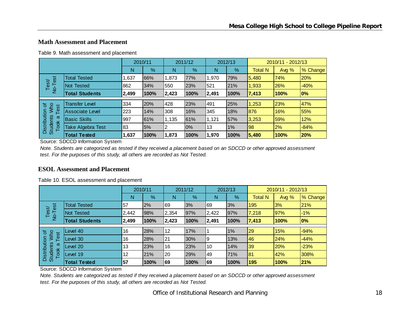#### **Math Assessment and Placement**

|                                     |                                  | 2010/11 |               |       | 2011/12       |       | 2012/13 |                | 2010/11 - 2012/13 |          |  |  |
|-------------------------------------|----------------------------------|---------|---------------|-------|---------------|-------|---------|----------------|-------------------|----------|--|--|
|                                     |                                  | N       | $\frac{9}{6}$ | N     | $\frac{9}{6}$ | N     | %       | <b>Total N</b> | Avg %             | % Change |  |  |
| est                                 | <b>Total Tested</b>              | 1,637   | 66%           | 1,873 | 77%           | 1,970 | 79%     | 5,480          | 74%               | 20%      |  |  |
| Test<br>No-Tr                       | <b>Not Tested</b>                | 862     | 34%           | 550   | 23%           | 521   | 21%     | 1,933          | 26%               | $-40%$   |  |  |
|                                     | <b>Total Students</b>            | 2,499   | 100%          | 2,423 | 100%          | 2,491 | 100%    | 7,413          | 100%              | 0%       |  |  |
| ð.<br>$\overline{5}$                | <b>Transfer Level</b>            | 334     | 20%           | 428   | 23%           | 491   | 25%     | 1,253          | 23%               | 47%      |  |  |
| Who<br>Ρë                           | <b>Associate Level</b>           | 223     | 14%           | 308   | 16%           | 345   | 18%     | 876            | 16%               | 55%      |  |  |
| ω                                   | <b>Basic Skills</b>              | 997     | 61%           | 1,135 | 61%           | 1,121 | 57%     | 3,253          | 59%               | 12%      |  |  |
| Distribution<br>Students WI<br>Took | Take Algebra Test                | 83      | 5%            |       | 0%            | 13    | $1\%$   | 98             | 2%                | $-84%$   |  |  |
|                                     | <b>Total Tested</b>              | 1,637   | 100%          | 1,873 | 100%          | 1,970 | 100%    | 5,480          | 100%              | 20%      |  |  |
|                                     | Source: SDCCD Information System |         |               |       |               |       |         |                |                   |          |  |  |

Table 9. Math assessment and placement

*Note. Students are categorized as tested if they received a placement based on an SDCCD or other approved assessment test. For the purposes of this study, all others are recorded as Not Tested.*

#### **ESOL Assessment and Placement**

|  | Table 10. ESOL assessment and placement |  |
|--|-----------------------------------------|--|
|--|-----------------------------------------|--|

|                                         |                       | 2010/11 |      | 2011/12 |      | 2012/13 |      | 2010/11 - 2012/13 |            |          |
|-----------------------------------------|-----------------------|---------|------|---------|------|---------|------|-------------------|------------|----------|
|                                         |                       | N       | %    | N       | %    | Ν       | %    | <b>Total N</b>    | Avg $%$    | % Change |
| est<br>Test/<br>$\overline{P}$          | <b>Total Tested</b>   | 57      | 2%   | 69      | 3%   | 69      | 3%   | 195               | 3%         | 21%      |
|                                         | <b>Not Tested</b>     | 2,442   | 98%  | 2,354   | 97%  | 2,422   | 97%  | 7,218             | <b>97%</b> | $-1%$    |
|                                         | <b>Total Students</b> | 2,499   | 100% | 2,423   | 100% | 2,491   | 100% | 7,413             | 100%       | $ 0\% $  |
|                                         |                       |         |      |         |      |         |      |                   |            |          |
| <b>NVho</b><br>৳                        | evel 40               | 16      | 28%  | 12      | 17%  |         | 1%   | 29                | 15%        | $-94%$   |
| lest                                    | evel 30               | 16      | 28%  | 21      | 30%  | 9       | 13%  | 46                | 24%        | $-44%$   |
| ω                                       | Level 20              | 13      | 23%  | 16      | 23%  | 10      | 14%  | 39                | 20%        | $-23%$   |
| Distribution<br><b>Students</b><br>Took | Level 19              | 12      | 21%  | 20      | 29%  | 49      | 71%  | 81                | 42%        | 308%     |
|                                         | <b>Total Tested</b>   | 57      | 100% | 69      | 100% | 69      | 100% | 195               | 100%       | 21%      |

Source: SDCCD Information System

*Note. Students are categorized as tested if they received a placement based on an SDCCD or other approved assessment test. For the purposes of this study, all others are recorded as Not Tested.*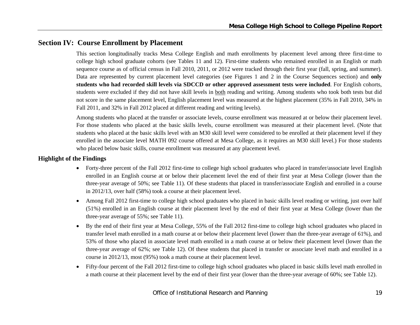## **Section IV: Course Enrollment by Placement**

This section longitudinally tracks Mesa College English and math enrollments by placement level among three first-time to college high school graduate cohorts (see Tables 11 and 12). First-time students who remained enrolled in an English or math sequence course as of official census in Fall 2010, 2011, or 2012 were tracked through their first year (fall, spring, and summer). Data are represented by current placement level categories (see Figures 1 and 2 in the Course Sequences section) and **only students who had recorded skill levels via SDCCD or other approved assessment tests were included**. For English cohorts, students were excluded if they did not have skill levels in both reading and writing. Among students who took both tests but did not score in the same placement level, English placement level was measured at the highest placement (35% in Fall 2010, 34% in Fall 2011, and 32% in Fall 2012 placed at different reading and writing levels).

Among students who placed at the transfer or associate levels, course enrollment was measured at or below their placement level. For those students who placed at the basic skills levels, course enrollment was measured at their placement level. (Note that students who placed at the basic skills level with an M30 skill level were considered to be enrolled at their placement level if they enrolled in the associate level MATH 092 course offered at Mesa College, as it requires an M30 skill level.) For those students who placed below basic skills, course enrollment was measured at any placement level.

#### **Highlight of the Findings**

- Forty-three percent of the Fall 2012 first-time to college high school graduates who placed in transfer/associate level English enrolled in an English course at or below their placement level the end of their first year at Mesa College (lower than the three-year average of 50%; see Table 11). Of these students that placed in transfer/associate English and enrolled in a course in 2012/13, over half (58%) took a course at their placement level.
- $\bullet$  Among Fall 2012 first-time to college high school graduates who placed in basic skills level reading or writing, just over half (51%) enrolled in an English course at their placement level by the end of their first year at Mesa College (lower than the three-year average of 55%; see Table 11).
- 0 By the end of their first year at Mesa College, 55% of the Fall 2012 first-time to college high school graduates who placed in transfer level math enrolled in a math course at or below their placement level (lower than the three-year average of 61%), and 53% of those who placed in associate level math enrolled in a math course at or below their placement level (lower than the three-year average of 62%; see Table 12). Of these students that placed in transfer or associate level math and enrolled in a course in 2012/13, most (95%) took a math course at their placement level.
- $\bullet$  Fifty-four percent of the Fall 2012 first-time to college high school graduates who placed in basic skills level math enrolled in a math course at their placement level by the end of their first year (lower than the three-year average of 60%; see Table 12).